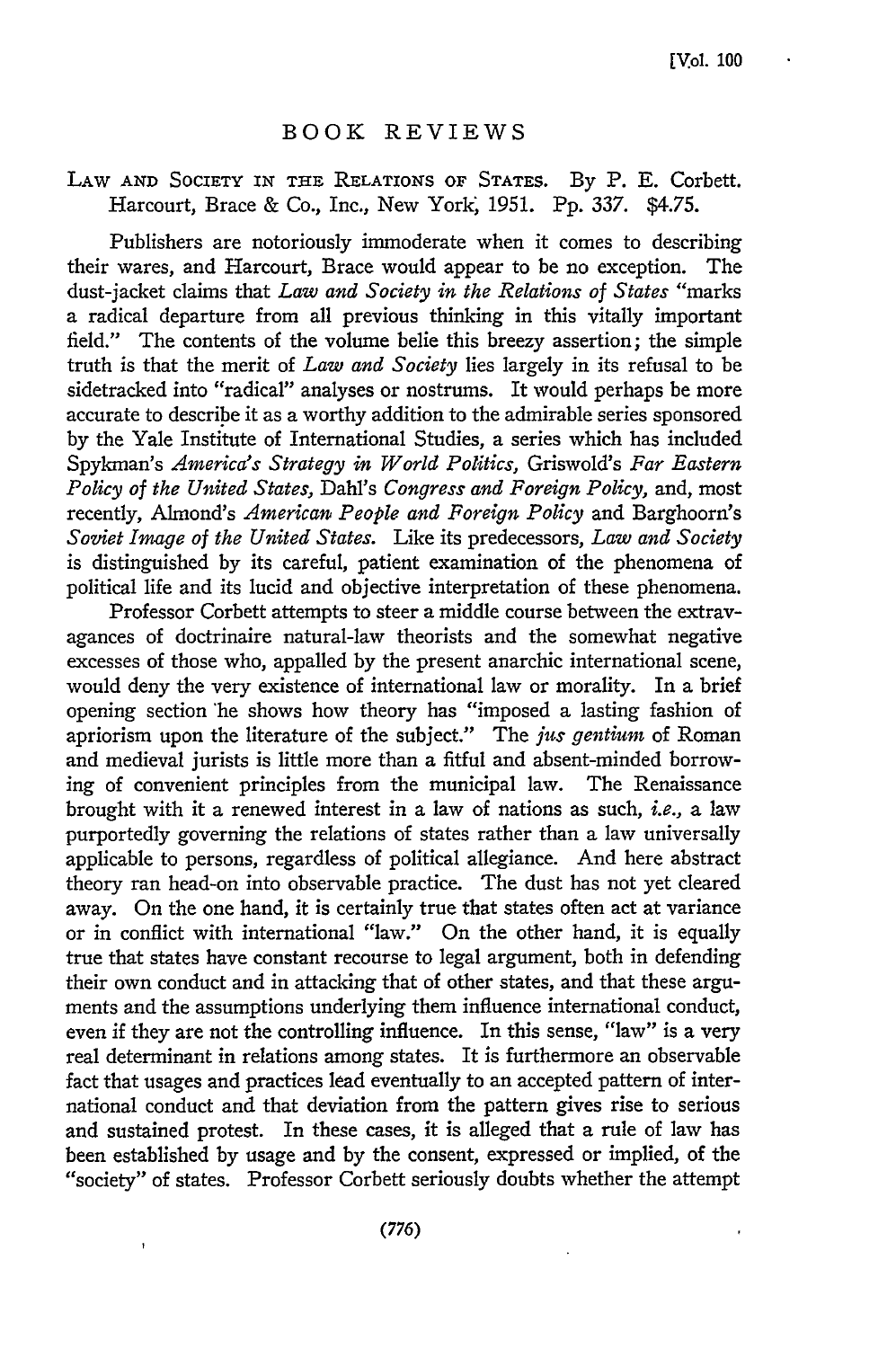## BOOK REVIEWS

## LAW **AND SOCIETY IN THE** RELATIONS OF STATES. By P. E. Corbett. Harcourt, Brace & Co., Inc., New York, 1951. Pp. 337. \$4.75.

Publishers are notoriously immoderate when it comes to describing their wares, and Harcourt, Brace would appear to be no exception. The dust-jacket claims that *Law and Society in the Relations of States* "marks a radical departure from all previous thinking in this vitally important field." The contents of the volume belie this breezy assertion; the simple truth is that the merit of *Law and Society* lies largely in its refusal to be sidetracked into "radical" analyses or nostrums. It would perhaps be more accurate to describe it as a worthy addition to the admirable series sponsored by the Yale Institute of International Studies, a series which has included Spykman's *America's Strategy in World Politics,* Griswold's *Far Eastern Policy of the United States, Dahl's Congress and Foreign Policy,* and, most recently, Almond's *American People and Foreign Policy* and Barghoorn's *Soviet Image of the United States.* Like its predecessors, *Law and Society* is distinguished by its careful, patient examination of the phenomena of political life and its lucid and objective interpretation of these phenomena.

Professor Corbett attempts to steer a middle course between the extravagances of doctrinaire natural-law theorists and the somewhat negative excesses of those who, appalled by the present anarchic international scene, would deny the very existence of international law or morality. In a brief opening section 'he shows how theory has "imposed a lasting fashion of apriorism upon the literature of the subject." The *jus gentium* of Roman and medieval jurists is little more than a fitful and absent-minded borrowing of convenient principles from the municipal law. The Renaissance brought with it a renewed interest in a law of nations as such, i.e., a law purportedly governing the relations of states rather than a law universally applicable to persons, regardless of political allegiance. And here abstract theory ran head-on into observable practice. The dust has not yet cleared away. On the one hand, it is certainly true that states often act at variance or in conflict with international "law." On the other hand, it is equally true that states have constant recourse to legal argument, both in defending their own conduct and in attacking that of other states, and that these arguments and the assumptions underlying them influence international conduct, even if they are not the controlling influence. In this sense, "law" is a very real determinant in relations among states. It is furthermore an observable fact that usages and practices lead eventually to an accepted pattern of international conduct and that deviation from the pattern gives rise to serious and sustained protest. In these cases, it is alleged that a rule of law has been established by usage and by the consent, expressed or implied, of the "society" of states. Professor Corbett seriously doubts whether the attempt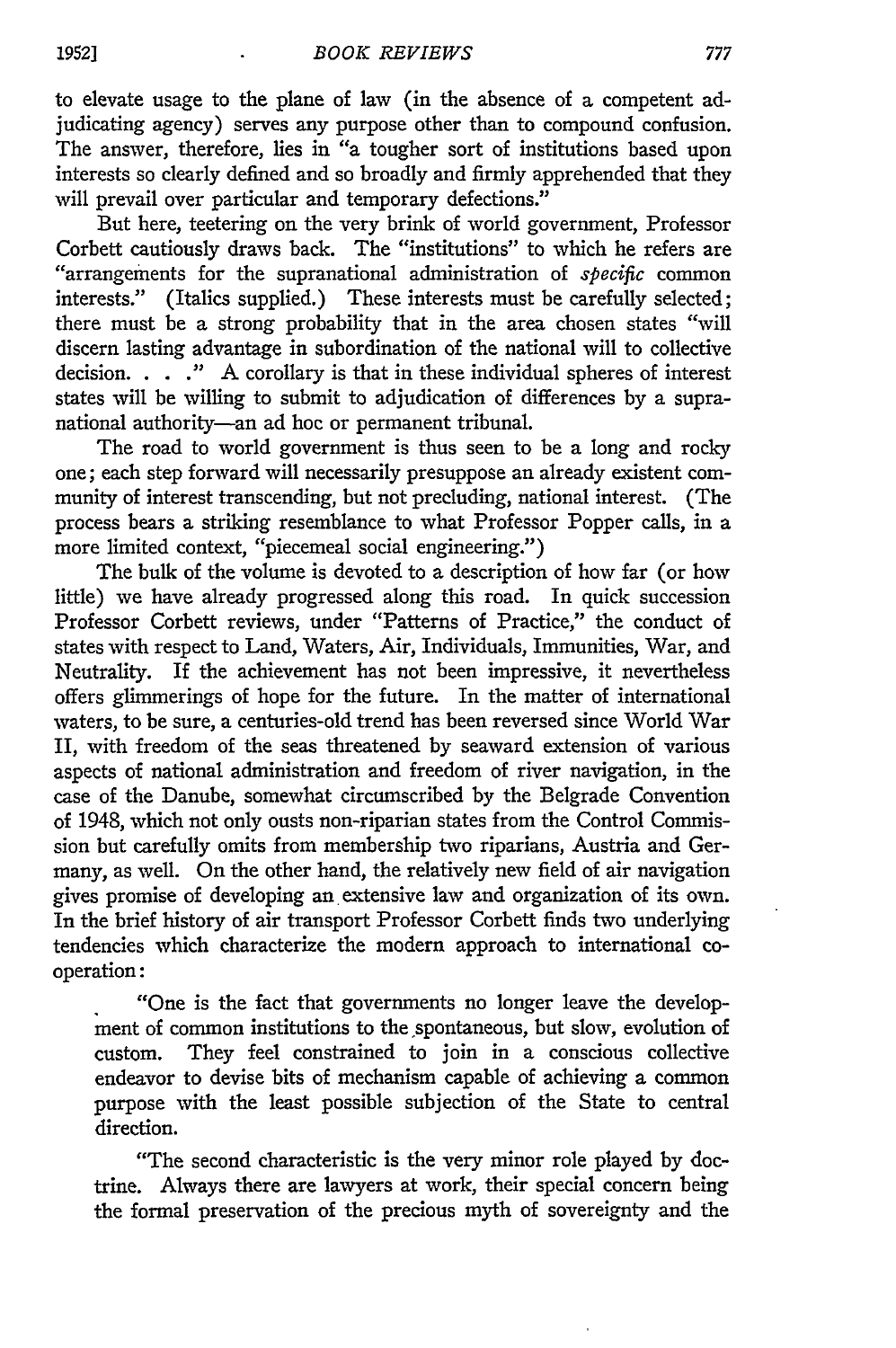to elevate usage to the plane of law (in the absence of a competent adjudicating agency) serves any purpose other than to compound confusion. The answer, therefore, lies in "a tougher sort of institutions based upon interests so clearly defined and so broadly and firmly apprehended that they will prevail over particular and temporary defections."

But here, teetering on the very brink of world government, Professor Corbett cautiously draws back. The "institutions" to which he refers are "arrangements for the supranational administration of *specific* common interests." (Italics supplied.) These interests must be carefully selected; there must be a strong probability that in the area chosen states "will discern lasting advantage in subordination of the national will to collective decision. . . **."** A corollary is that in these individual spheres of interest states will be willing to submit to adjudication of differences by a supranational authority-an ad hoc or permanent tribunal.

The road to world government is thus seen to be a long and rocky one; each step forward will necessarily presuppose an already existent community of interest transcending, but not precluding, national interest. (The process bears a striking resemblance to what Professor Popper calls, in a more limited context, "piecemeal social engineering.")

The bulk of the volume is devoted to a description of how far (or how little) we have already progressed along this road. In quick succession Professor Corbett reviews, under "Patterns of Practice," the conduct of states with respect to Land, Waters, Air, Individuals, Immunities, War, and Neutrality. If the achievement has not been impressive, it nevertheless offers glimmerings of hope for the future. In the matter of international waters, to be sure, a centuries-old trend has been reversed since World War II, with freedom of the seas threatened by seaward extension of various aspects of national administration and freedom of river navigation, in the case of the Danube, somewhat circumscribed by the Belgrade Convention of 1948, which not only ousts non-riparian states from the Control Commission but carefully omits from membership two riparians, Austria and Germany, as well. On the other hand, the relatively new field of air navigation gives promise of developing an extensive law and organization of its own. In the brief history of air transport Professor Corbett finds two underlying tendencies which characterize the modern approach to international cooperation:

"One is the fact that governments no longer leave the development of common institutions to the spontaneous, but slow, evolution of custom. They feel constrained to join in a conscious collective endeavor to devise bits of mechanism capable of achieving a common purpose with the least possible subjection of the State to central direction.

"The second characteristic is the very minor role played by doctrine. Always there are lawyers at work, their special concern being the formal preservation of the precious myth of sovereignty and the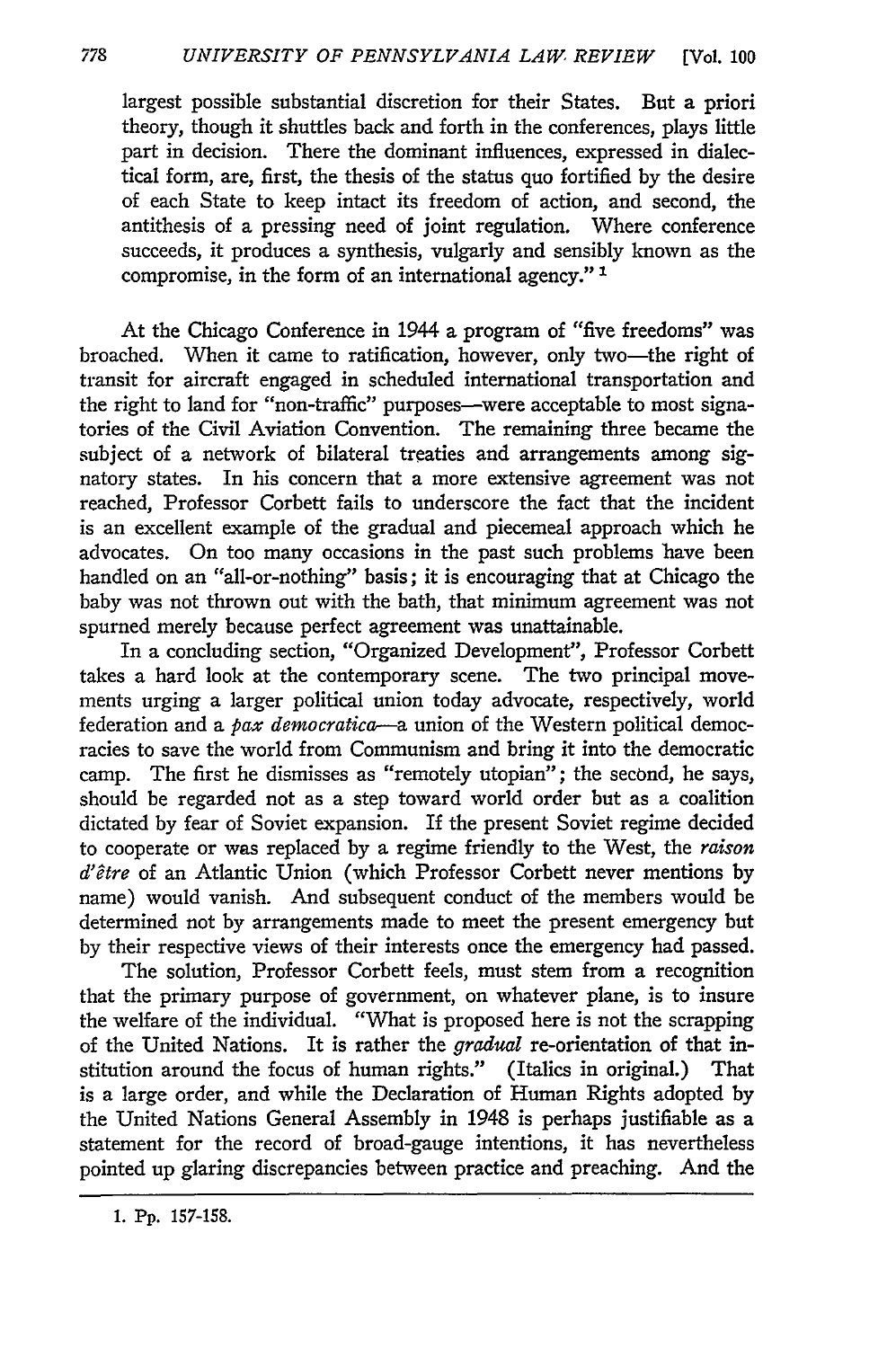largest possible substantial discretion for their States. But a priori theory, though it shuttles back and forth in the conferences, plays little part in decision. There the dominant influences, expressed in dialectical form, are, first, the thesis of the status quo fortified by the desire of each State to keep intact its freedom of action, and second, the antithesis of a pressing need of joint regulation. Where conference succeeds, it produces a synthesis, vulgarly and sensibly known as the compromise, in the form of an international agency." **1**

At the Chicago Conference in 1944 a program of "five freedoms" was broached. When it came to ratification, however, only two-the right of transit for aircraft engaged in scheduled international transportation and the right to land for "non-traffic" purposes--were acceptable to most signatories of the Civil Aviation Convention. The remaining three became the subject of a network of bilateral treaties and arrangements among signatory states. In his concern that a more extensive agreement was not reached, Professor Corbett fails to underscore the fact that the incident is an excellent example of the gradual and piecemeal approach which he advocates. On too many occasions in the past such problems have been handled on an "all-or-nothing" basis; it is encouraging that at Chicago the baby was not thrown out with the bath, that minimum agreement was not spurned merely because perfect agreement was unattainable.

In a concluding section, "Organized Development", Professor Corbett takes a hard look at the contemporary scene. The two principal movements urging a larger political union today advocate, respectively, world federation and a pax *democratica-a* union of the Western political democracies to save the world from Communism and bring it into the democratic camp. The first he dismisses as "remotely utopian"; the second, he says, should be regarded not as a step toward world order but as a coalition dictated by fear of Soviet expansion. If the present Soviet regime decided to cooperate or was replaced by a regime friendly to the West, the *raison d'etre* of an Atlantic Union (which Professor Corbett never mentions by name) would vanish. And subsequent conduct of the members would be determined not by arrangements made to meet the present emergency but by their respective views of their interests once the emergency had passed.

The solution, Professor Corbett feels, must stem from a recognition that the primary purpose of government, on whatever plane, is to insure the welfare of the individual. "What is proposed here is not the scrapping of the United Nations. It is rather the *gradual* re-orientation of that institution around the focus of human rights." (Italics in original.) That is a large order, and while the Declaration of Human Rights adopted **by** the United Nations General Assembly in 1948 is perhaps justifiable as a statement for the record of broad-gauge intentions, it has nevertheless pointed up glaring discrepancies between practice and preaching. And the

<sup>1.</sup> Pp. 157-158.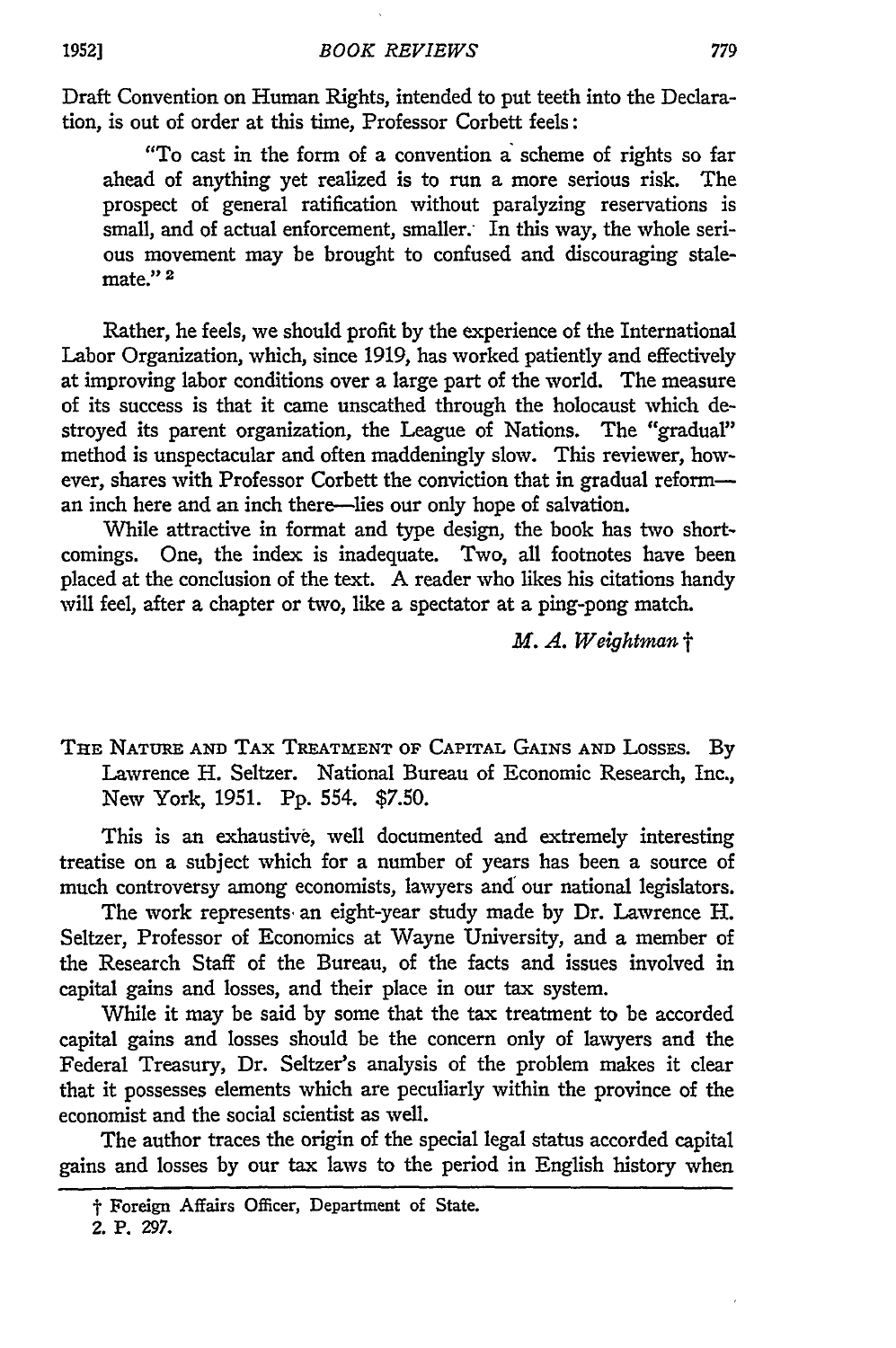Draft Convention on Human Rights, intended to put teeth into the Declaration, is out of order at this time, Professor Corbett feels:

"To cast in the form of a convention a scheme of rights so far ahead of anything yet realized is to run a more serious risk. The prospect of general ratification without paralyzing reservations is small, and of actual enforcement, smaller. In this way, the whole serious movement may be brought to confused and discouraging stalemate."<sup>2</sup>

Rather, he feels, we should profit by the experience of the International Labor Organization, which, since 1919, has worked patiently and effectively at improving labor conditions over a large part of the world. The measure of its success is that it came unscathed through the holocaust which destroyed its parent organization, the League of Nations. The "gradual" method is unspectacular and often maddeningly slow. This reviewer, however, shares with Professor Corbett the conviction that in gradual reforman inch here and an inch there-lies our only hope of salvation.

While attractive in format and type design, the book has two shortcomings. One, the index is inadequate. Two, all footnotes have been placed at the conclusion of the text. A reader who likes his citations handy will feel, after a chapter or two, like a spectator at a ping-pong match.

*M. A. Weightman* t

**THE NATURE AND** TAX TREATMENT OF CAPITAL **GAINS AND** LossEs. By Lawrence H. Seltzer. National Bureau of Economic Research, Inc., New York, **1951. Pp.** 554. \$7.50.

This is an exhaustive, well documented and extremely interesting treatise on a subject which for a number of years has been a source of much controversy among economists, lawyers and our national legislators.

The work represents. an eight-year study made **by** Dr. Lawrence H. Seltzer, Professor of Economics at Wayne University, and a member of the Research Staff of the Bureau, of the facts and issues involved in capital gains and losses, and their place in our tax system.

While it may be said **by** some that the tax treatment to be accorded capital gains and losses should be the concern only of lawyers and the Federal Treasury, Dr. Seltzer's analysis of the problem makes it clear that it possesses elements which are peculiarly within the province of the economist and the social scientist as well.

The author traces the origin of the special legal status accorded capital gains and losses **by** our tax laws to the period in English history when

t Foreign **Affairs** Officer, Department **of** State.

**<sup>2.</sup> P. 297.**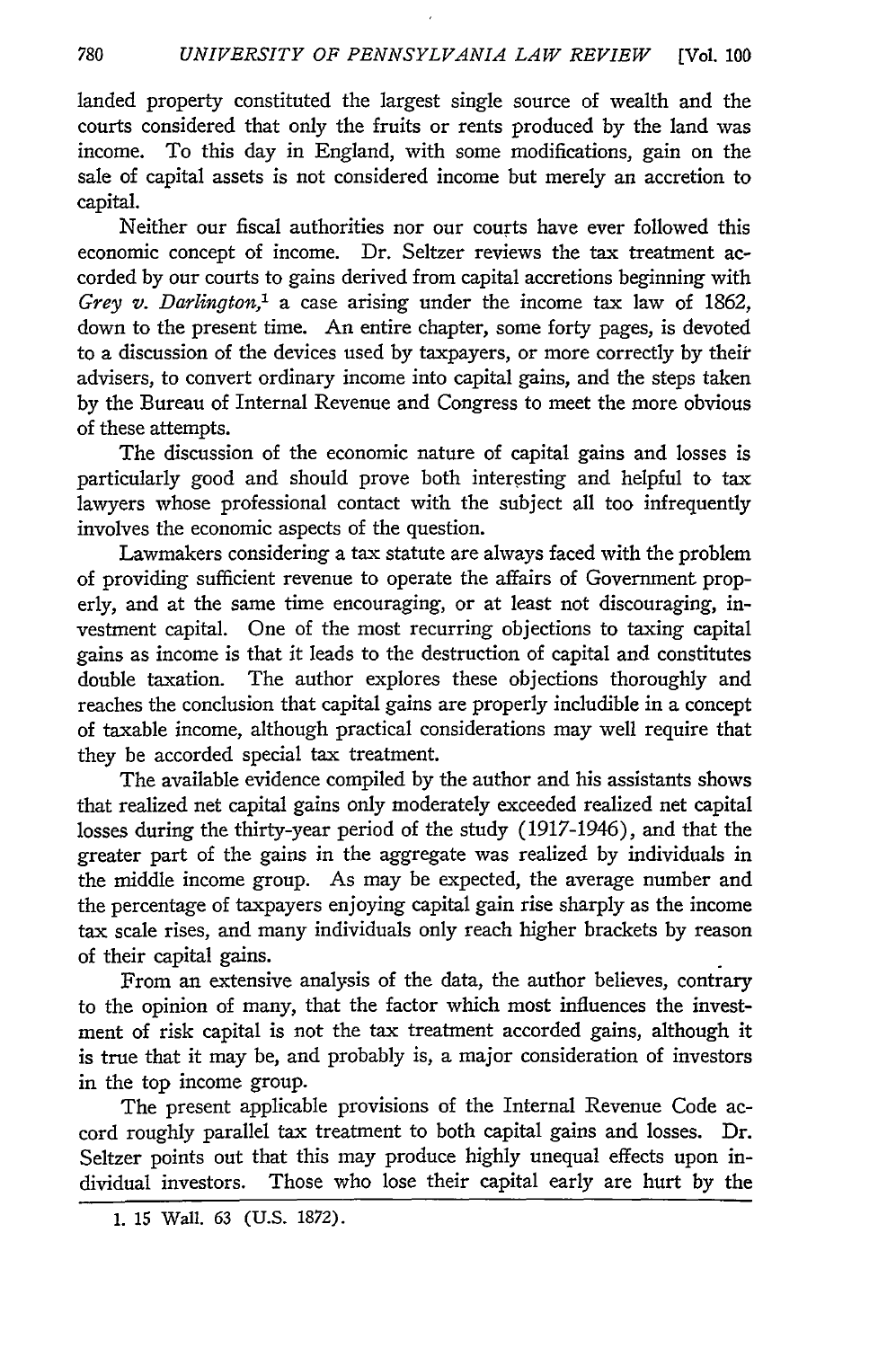landed property constituted the largest single source of wealth and the courts considered that only the fruits or rents produced by the land was income. To this day in England, with some modifications, gain on the sale of capital assets is not considered income but merely an accretion to capital.

Neither our fiscal authorities nor our courts have ever followed this economic concept of income. Dr. Seltzer reviews the tax treatment accorded **by** our courts to gains derived from capital accretions beginning with *Grey v. Darlington,1* a case arising under the income tax law of 1862, down to the present time. An entire chapter, some forty pages, is devoted to a discussion of the devices used by taxpayers, or more correctly **by** their advisers, to convert ordinary income into capital gains, and the steps taken **by** the Bureau of Internal Revenue and Congress to meet the more obvious of these attempts.

The discussion of the economic nature of capital gains and losses is particularly good and should prove both interesting and helpful to tax lawyers whose professional contact with the subject all too infrequently involves the economic aspects of the question.

Lawmakers considering a tax statute are always faced with the problem of providing sufficient revenue to operate the affairs of Government properly, and at the same time encouraging, or at least not discouraging, investment capital. One of the most recurring objections to taxing capital gains as income is that it leads to the destruction of capital and constitutes double taxation. The author explores these objections thoroughly and reaches the conclusion that capital gains are properly includible in a concept of taxable income, although practical considerations may well require that they be accorded special tax treatment.

The available evidence compiled **by** the author and his assistants shows that realized net capital gains only moderately exceeded realized net capital losses during the thirty-year period of the study (1917-1946), and that the greater part of the gains in the aggregate was realized **by** individuals in the middle income group. As may be expected, the average number and the percentage of taxpayers enjoying capital gain rise sharply as the income tax scale rises, and many individuals only reach higher brackets **by** reason of their capital gains.

From an extensive analysis of the data, the author believes, contrary to the opinion of many, that the factor which most influences the investment of risk capital is not the tax treatment accorded gains, although it is true that it may be, and probably is, a major consideration of investors in the top income group.

The present applicable provisions of the Internal Revenue Code accord roughly parallel tax treatment to both capital gains and losses. Dr. Seltzer points out that this may produce highly unequal effects upon individual investors. Those who lose their capital early are hurt **by** the

<sup>1. 15</sup> Wall. 63 (U.S. 1872).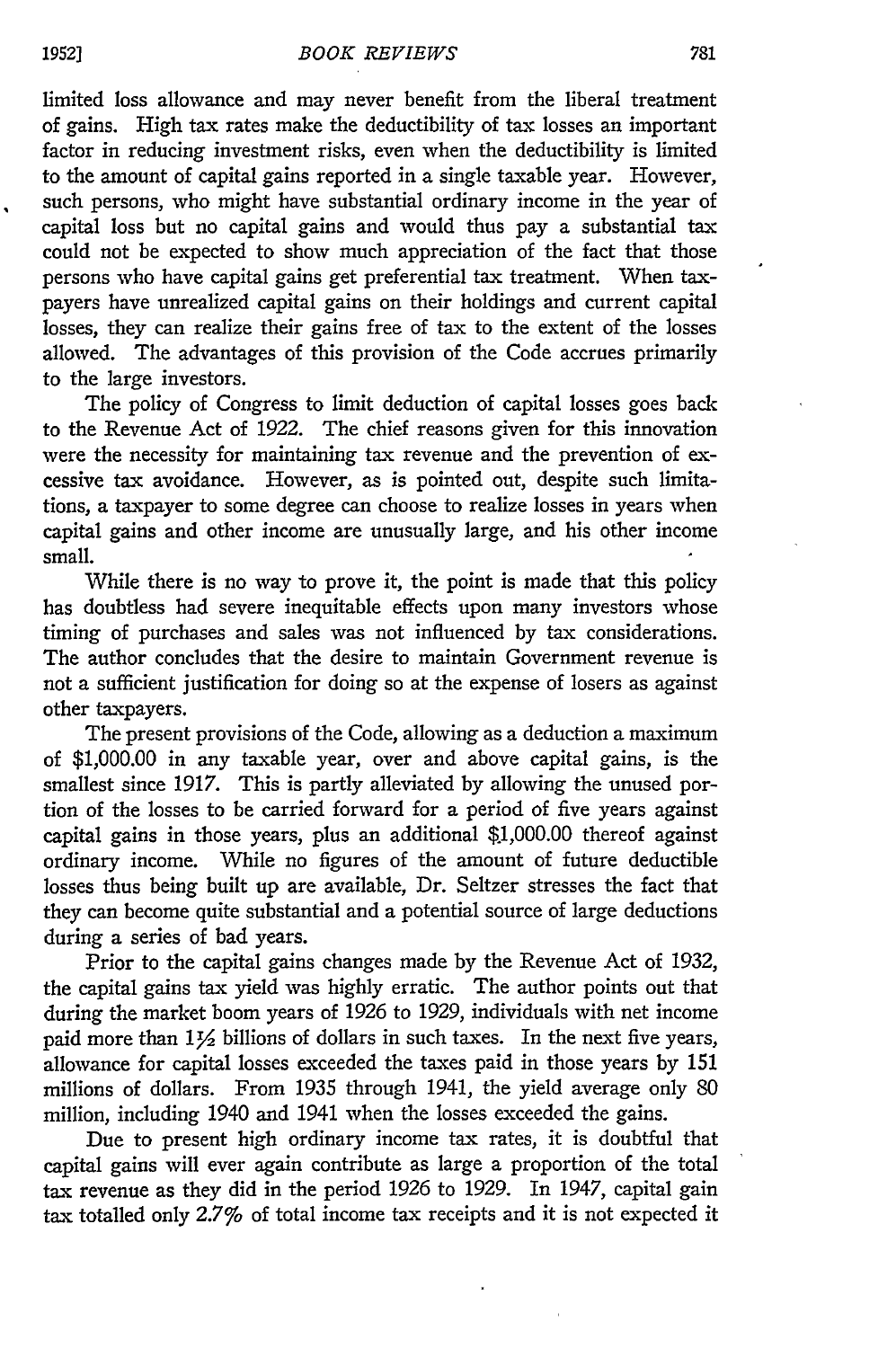limited loss allowance and may never benefit from the liberal treatment of gains. High tax rates make the deductibility of tax losses an important factor in reducing investment risks, even when the deductibility is limited to the amount of capital gains reported in a single taxable year. However, such persons, who might have substantial ordinary income in the year of capital loss but no capital gains and would thus pay a substantial tax could not be expected to show much appreciation of the fact that those persons who have capital gains get preferential tax treatment. When taxpayers have unrealized capital gains on their holdings and current capital losses, they can realize their gains free of tax to the extent of the losses allowed. The advantages of this provision of the Code accrues primarily to the large investors.

The policy of Congress to limit deduction of capital losses goes back to the Revenue Act of 1922. The chief reasons given for this innovation were the necessity for maintaining tax revenue and the prevention of excessive tax avoidance. However, as is pointed out, despite such limitations, a taxpayer to some degree can choose to realize losses in years when capital gains and other income are unusually large, and his other income small.

While there is no way to prove it, the point is made that this policy has doubtless had severe inequitable effects upon many investors whose timing of purchases and sales was not influenced **by** tax considerations. The author concludes that the desire to maintain Government revenue is not a sufficient justification for doing so at the expense of losers as against other taxpayers.

The present provisions of the Code, allowing as a deduction a maximum of \$1,000.00 in any taxable year, over and above capital gains, is the smallest since 1917. This is partly alleviated **by** allowing the unused portion of the losses to be carried forward for a period of five years agains capital gains in those years, plus an additional  $$1,000.00$  thereof against ordinary income. While no figures of the amount of future deductible losses thus being built up are available, Dr. Seltzer stresses the fact that they can become quite substantial and a potential source of large deductions during a series of bad years.

Prior to the capital gains changes made **by** the Revenue Act of 1932, the capital gains tax yield was highly erratic. The author points out that during the market boom years of 1926 to 1929, individuals with net income paid more than  $1\frac{1}{2}$  billions of dollars in such taxes. In the next five years, allowance for capital losses exceeded the taxes paid in those years by 151 millions of dollars. From 1935 through 1941, the yield average only 80 million, including 1940 and 1941 when the losses exceeded the gains.

Due to present high ordinary income tax rates, it is doubtful that capital gains will ever again contribute as large a proportion of the total tax revenue as they did in the period 1926 to 1929. In 1947, capital gain tax totalled only 2.7% of total income tax receipts and it is not expected it

 $\ddot{\phantom{0}}$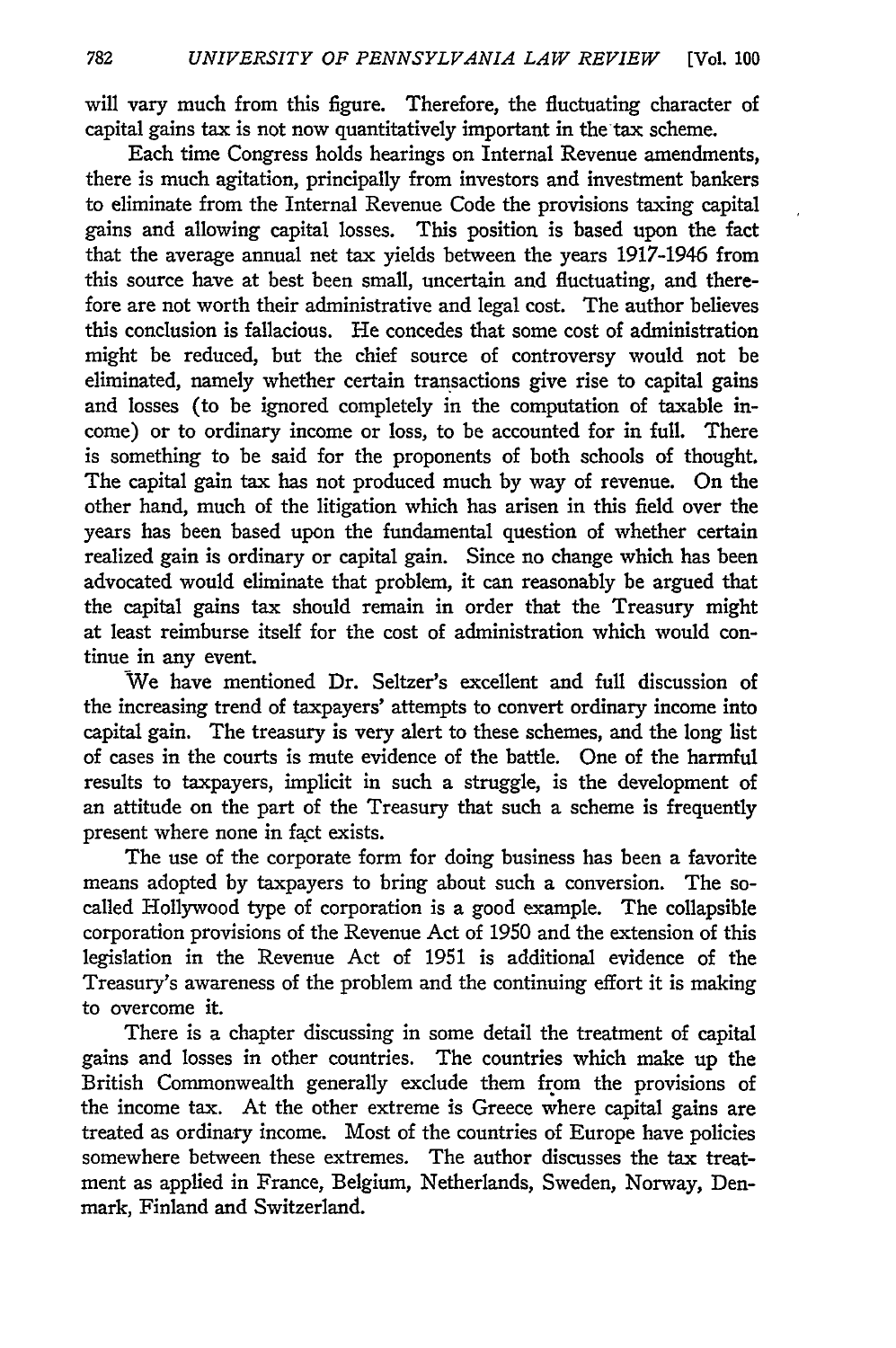will vary much from this figure. Therefore, the fluctuating character of capital gains tax is not now quantitatively important in the tax scheme.

Each time Congress holds hearings on Internal Revenue amendments, there is much agitation, principally from investors and investment bankers to eliminate from the Internal Revenue Code the provisions taxing capital gains and allowing capital losses. This position is based upon the fact that the average annual net tax yields between the years 1917-1946 from this source have at best been small, uncertain and fluctuating, and therefore are not worth their administrative and legal cost. The author believes this conclusion is fallacious. He concedes that some cost of administration might be reduced, but the chief source of controversy would not be eliminated, namely whether certain transactions give rise to capital gains and losses (to be ignored completely in the computation of taxable income) or to ordinary income or loss, to be accounted for in full. There is something to be said for the proponents of both schools of thought. The capital gain tax has not produced much by way of revenue. On the other hand, much of the litigation which has arisen in this field over the years has been based upon the fundamental question of whether certain realized gain is ordinary or capital gain. Since no change which has been advocated would eliminate that problem, it can reasonably be argued that the capital gains tax should remain in order that the Treasury might at least reimburse itself for the cost of administration which would continue in any event.

We have mentioned Dr. Seltzer's excellent and full discussion of the increasing trend of taxpayers' attempts to convert ordinary income into capital gain. The treasury is very alert to these schemes, and the long list of cases in the courts is mute evidence of the battle. One of the harmful results to taxpayers, implicit in such a struggle, is the development of an attitude on the part of the Treasury that such a scheme is frequently present where none in fact exists.

The use of the corporate form for doing business has been a favorite means adopted by taxpayers to bring about such a conversion. The socalled Hollywood type of corporation is a good example. The collapsible corporation provisions of the Revenue Act of 1950 and the extension of this legislation in the Revenue Act of 1951 is additional evidence of the Treasury's awareness of the problem and the continuing effort it is making to overcome it.

There is a chapter discussing in some detail the treatment of capital gains and losses in other countries. The countries which make up the British Commonwealth generally exclude them from the provisions of the income tax. At the other extreme is Greece where capital gains are treated as ordinary income. Most of the countries of Europe have policies somewhere between these extremes. The author discusses the tax treatment as applied in France, Belgium, Netherlands, Sweden, Norway, Denmark, Finland and Switzerland.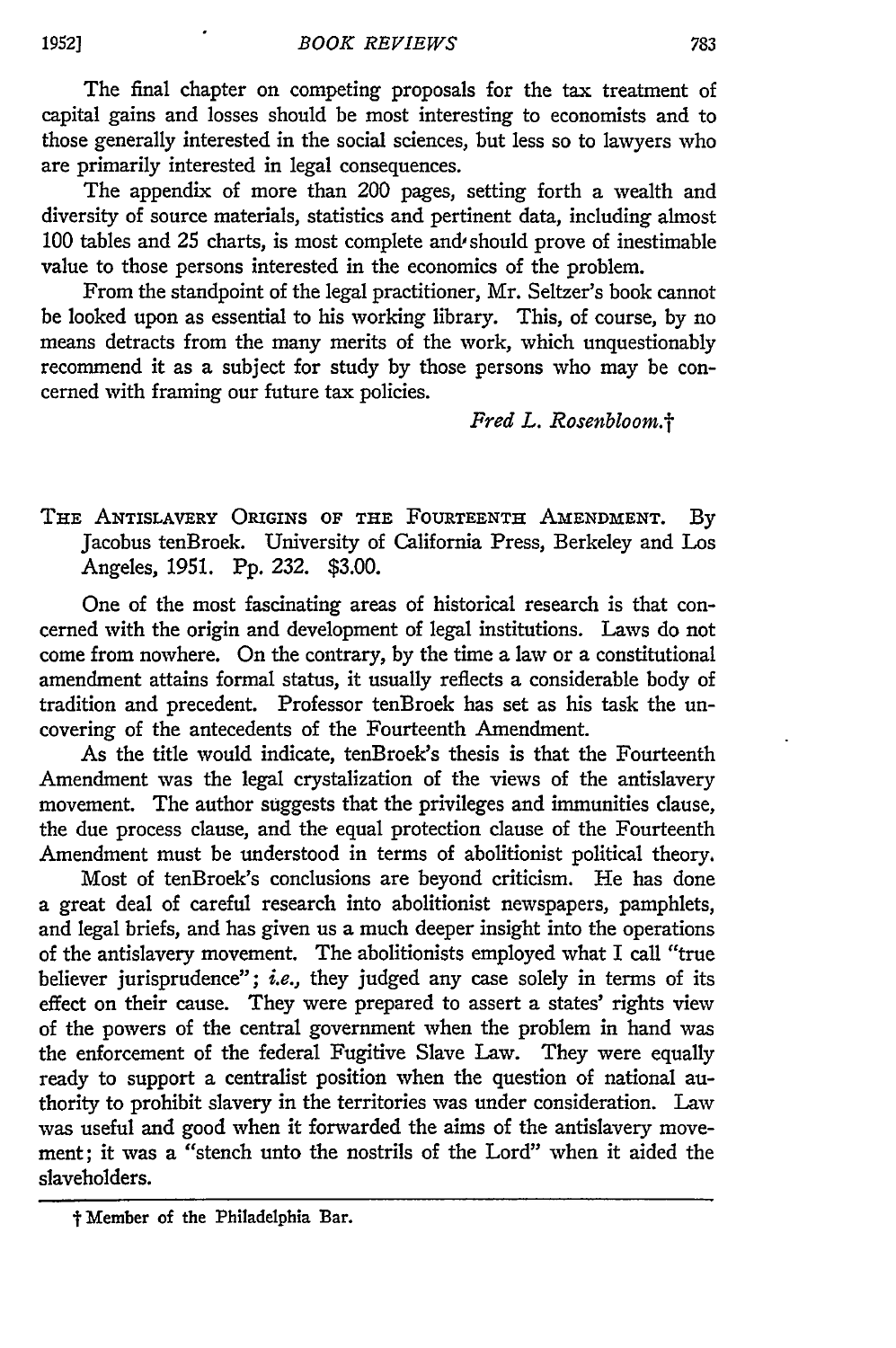The final chapter on competing proposals for the tax treatment of capital gains and losses should be most interesting to economists and to those generally interested in the social sciences, but less so to lawyers who are primarily interested in legal consequences.

The appendix of more than 200 pages, setting forth a wealth and diversity of source materials, statistics and pertinent data, including almost 100 tables and 25 charts, is most complete and should prove of inestimable value to those persons interested in the economics of the problem.

From the standpoint of the legal practitioner, Mr. Seltzer's book cannot be looked upon as essential to his working library. This, of course, by no means detracts from the many merits of the work, which unquestionably recommend it as a subject for study by those persons who may be concerned with framing our future tax policies.

*Fred L. Rosenbloom.t*

THE ANTISLAVERY ORIGINS OF **THE** FOURTEENTH AMENDMENT. **By** Jacobus tenBroek. University of California Press, Berkeley and Los Angeles, 1951. Pp. 232. \$3.00.

One of the most fascinating areas of historical research is that concerned with the origin and development of legal institutions. Laws do not come from nowhere. On the contrary, by the time a law or a constitutional amendment attains formal status, it usually reflects a considerable body of tradition and precedent. Professor tenBroek has set as his task the uncovering of the antecedents of the Fourteenth Amendment.

As the title would indicate, tenBroek's thesis is that the Fourteenth Amendment was the legal crystalization of the views of the antislavery movement. The author suggests that the privileges and immunities clause, the due process clause, and the equal protection clause of the Fourteenth Amendment must be understood in terms of abolitionist political theory.

Most of tenBroek's conclusions are beyond criticism. He has done a great deal of careful research into abolitionist newspapers, pamphlets, and legal briefs, and has given us a much deeper insight into the operations of the antislavery movement. The abolitionists employed what I call "true believer jurisprudence"; *i.e.,* they judged any case solely in terms of its effect on their cause. They were prepared to assert a states' rights view of the powers of the central government when the problem in hand was the enforcement of the federal Fugitive Slave Law. They were equally ready to support a centralist position when the question of national authority to prohibit slavery in the territories was under consideration. Law was useful and good when it forwarded the aims of the antislavery movement; it was a "stench unto the nostrils of the Lord" when it aided the slaveholders.

<sup>&</sup>quot; Member of the Philadelphia Bar.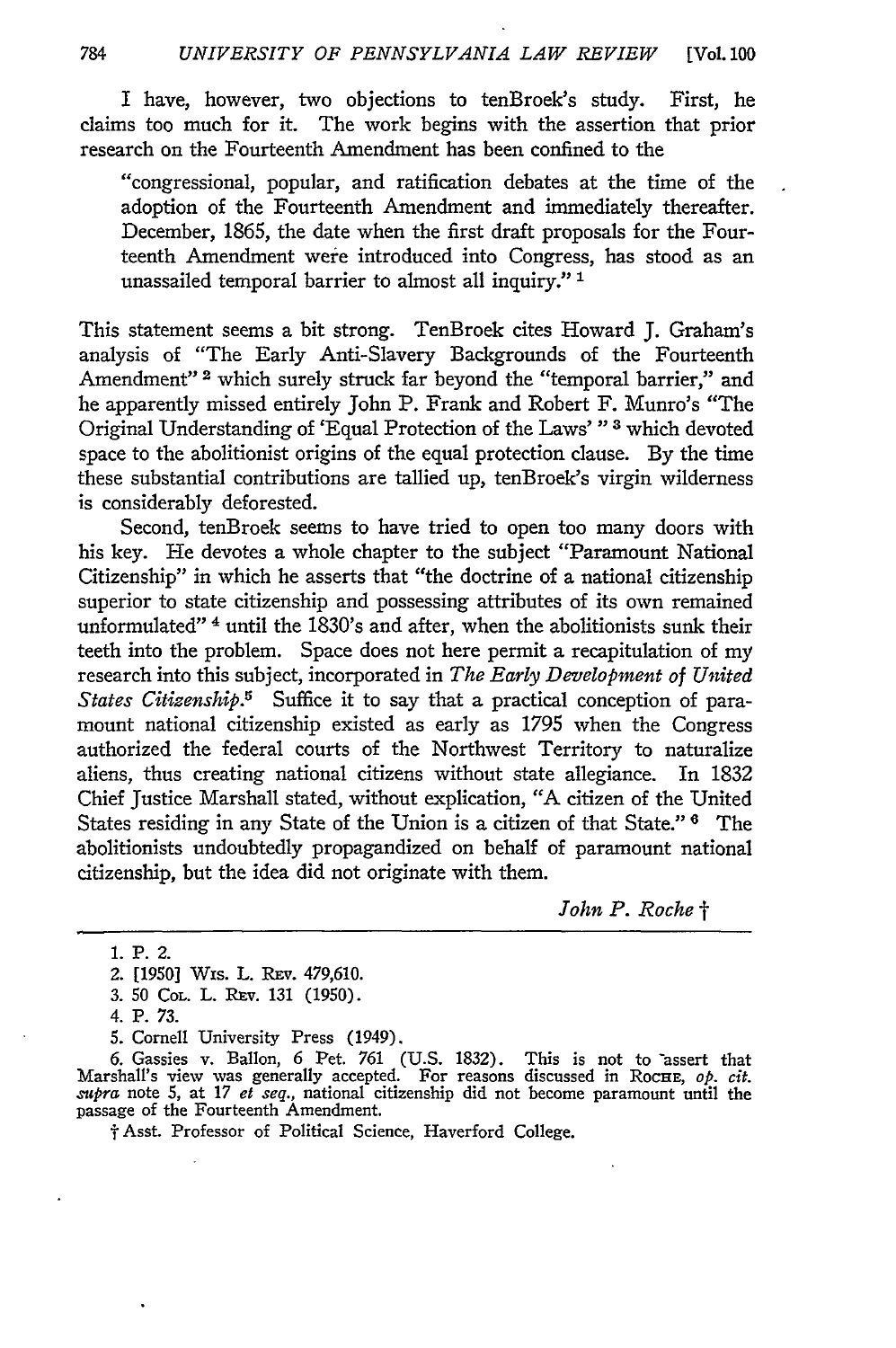I have, however, two objections to tenBroek's study. First, he claims too much for it. The work begins with the assertion that prior research on the Fourteenth Amendment has been confined to the

"congressional, popular, and ratification debates at the time of the adoption of the Fourteenth Amendment and immediately thereafter. December, 1865, the date when the first draft proposals for the Fourteenth Amendment were introduced into Congress, has stood as an unassailed temporal barrier to almost all inquiry." **1**

This statement seems a bit strong. TenBroek cites Howard J. Graham's analysis of "The Early Anti-Slavery Backgrounds of the Fourteenth Amendment"<sup>2</sup> which surely struck far beyond the "temporal barrier," and he apparently missed entirely John P. Frank and Robert F. Munro's "The Original Understanding of 'Equal Protection of the Laws' **"3** which devoted space to the abolitionist origins of the equal protection clause. By the time these substantial contributions are tallied up, tenBroek's virgin wilderness is considerably deforested.

Second, tenBroek seems to have tried to open too many doors with his key. He devotes a whole chapter to the subject "Paramount National Citizenship" in which he asserts that "the doctrine of a national citizenship superior to state citizenship and possessing attributes of its own remained unformulated" 4 until the 1830's and after, when the abolitionists sunk their teeth into the problem. Space does not here permit a recapitulation of my research into this subject, incorporated in *The Early Development of United States Citizenship.5* Suffice it to say that a practical conception of paramount national citizenship existed as early as 1795 when the Congress authorized the federal courts of the Northwest Territory to naturalize aliens, thus creating national citizens without state allegiance. In 1832 Chief Justice Marshall stated, without explication, "A citizen of the United States residing in any State of the Union is a citizen of that State." **6** The abolitionists undoubtedly propagandized on behalf of paramount national citizenship, but the idea did not originate with them.

*John P. Roche t*

1. P. 2.

4. **P.** 73.

f Asst. Professor of Political Science, Haverford College.

<sup>2. [1950]</sup> Wis. L. Rev. 479,610.

<sup>3. 50</sup> Col. L. REV. 131 (1950).

<sup>5.</sup> Cornell University Press (1949).

<sup>6.</sup> Gassies v. Ballon, 6 Pet. 761 (U.S. 1832). This is not to -assert that Marshall's view was generally accepted. For reasons discussed in Rocue, *op. cit. mupra* note 5, at 17 *et seq.,* national citizenship did not become paramount until the passage of the Fourteenth Amendment.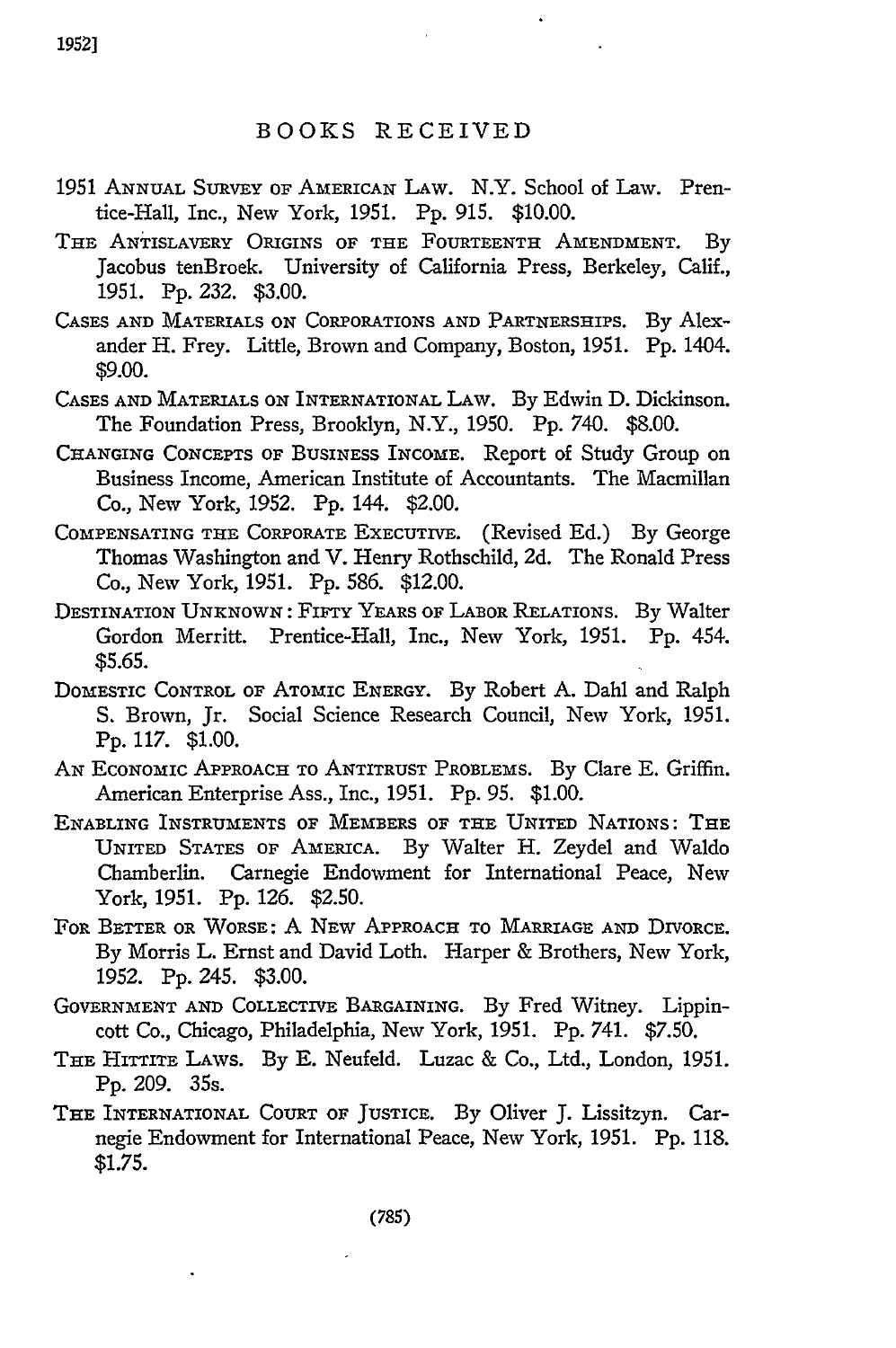## BOOKS RECEIVED

- 1951 **ANNUAL SURVEY** OF **AmERICAN** LAW. N.Y. School of Law. Prentice-Hall, Inc., New York, 1951. Pp. 915. \$10.00.
- THE ANTISLAVERY ORIGINS **OF** THE FOURTEENTH AMENDMENT. By Jacobus tenBroek. University of California Press, Berkeley, Calif., 1951. Pp. 232. \$3.00.
- CASES **AND** MATERIALS **ON** CORPORATIONS **AND** PARTNERSHIPS. By Alexander H. Frey. Little, Brown and Company, Boston, 1951. Pp. 1404. \$9.00.
- **CASES AND** MATERIALS **ON** INTERNATIONAL LAW. By Edwin **D.** Dickinson. The Foundation Press, Brooklyn, N.Y., 1950. **Pp.** 740. \$8.00.
- **CHANGING** CONCEPTS OF **BUSINESS** INCOME. Report of Study Group on Business Income, American Institute of Accountants. The Macmillan Co., New York, 1952. Pp. 144. \$2.00.
- **COMPENSATING THE CORPORATE** EXECUTIVE. (Revised Ed.) By George Thomas Washington and V. Henry Rothschild, **2d.** The Ronald Press Co., New York, 1951. Pp. 586. \$12.00.
- DESTINATION **UNKNOWN:** FIFTY YEARS OF LABOR **RELATIONS.** By Walter Gordon Merritt. Prentice-Hall, Inc., New York, 1951. Pp. 454. **\$5.65.**
- DOMESTIC CONTROL OF ATOmiC ENERGY. By Robert A. Dahl and Ralph S. Brown, Jr. Social Science Research Council, New York, 1951. **Pp.** 117. \$1.00.
- AN EcoNOMIC APPROACH TO ANTITRUST PROBLEMS. By Clare E. Griffin. American Enterprise Ass., Inc., 1951. **Pp. 95.** \$1.00.
- ENABLING **INSTRUMENTS** OF **MEMBERS** OF **THE** UNITED NATIONS: **THE** UNITED STATES OF AMERICA. By Walter H. Zeydel and Waldo Chamberlin. Carnegie Endowment for International Peace, New York, 1951. Pp. 126. \$2.50.
- FOR BETTER OR WORSE: **A** NEW APPROACH TO MARRIAGE **AND** DIVORCE. By Morris L. Ernst and David Loth. Harper & Brothers, New York, 1952. Pp. 245. \$3.00.
- **GOVERNMENT AND** COLLECTIVE BARGAINING. By Fred Witney. Lippincott Co., Chicago, Philadelphia, New York, 1951. Pp. 741. \$7.50.
- THE HITTITE LAWS. By E. Neufeld. Luzac & Co., Ltd., London, 1951. Pp. 209. 35s.
- THE INTERNATIONAL COURT OF JUSTICE. By Oliver J. Lissitzyn. Carnegie Endowment for International Peace, New York, 1951. Pp. 118. **\$1.75.**